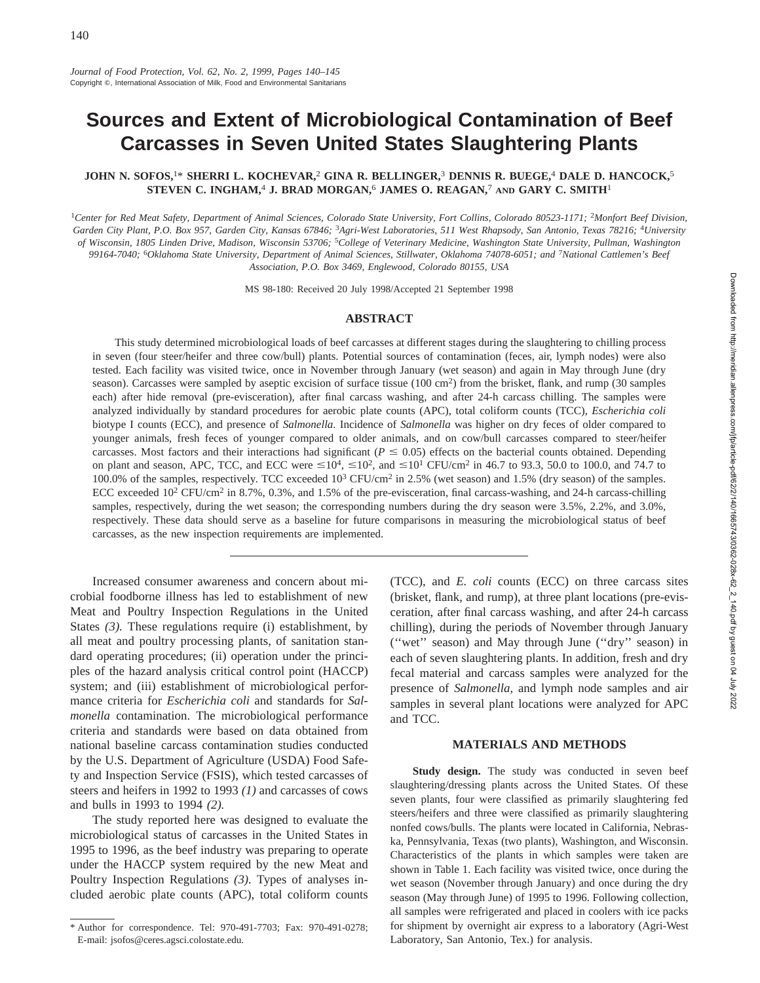# **Sources and Extent of Microbiological Contamination of Beef Carcasses in Seven United States Slaughtering Plants**

## **JOHN N. SOFOS,**1\* **SHERRI L. KOCHEVAR,**<sup>2</sup> **GINA R. BELLINGER,**<sup>3</sup> **DENNIS R. BUEGE,**<sup>4</sup> **DALE D. HANCOCK,**<sup>5</sup> **STEVEN C. INGHAM,**<sup>4</sup> **J. BRAD MORGAN,**<sup>6</sup> **JAMES O. REAGAN,**<sup>7</sup> **AND GARY C. SMITH**<sup>1</sup>

<sup>1</sup>*Center for Red Meat Safety, Department of Animal Sciences, Colorado State University, Fort Collins, Colorado 80523-1171;* <sup>2</sup>*Monfort Beef Division, Garden City Plant, P.O. Box 957, Garden City, Kansas 67846;* <sup>3</sup>*Agri-West Laboratories, 511 West Rhapsody, San Antonio, Texas 78216;* <sup>4</sup>*University of Wisconsin, 1805 Linden Drive, Madison, Wisconsin 53706;* <sup>5</sup>*College of Veterinary Medicine, Washington State University, Pullman, Washington 99164-7040;* <sup>6</sup>*Oklahoma State University, Department of Animal Sciences, Stillwater, Oklahoma 74078-6051; and* <sup>7</sup>*National Cattlemen's Beef Association, P.O. Box 3469, Englewood, Colorado 80155, USA*

MS 98-180: Received 20 July 1998/Accepted 21 September 1998

## **ABSTRACT**

This study determined microbiological loads of beef carcasses at different stages during the slaughtering to chilling process in seven (four steer/heifer and three cow/bull) plants. Potential sources of contamination (feces, air, lymph nodes) were also tested. Each facility was visited twice, once in November through January (wet season) and again in May through June (dry season). Carcasses were sampled by aseptic excision of surface tissue (100 cm2) from the brisket, flank, and rump (30 samples each) after hide removal (pre-evisceration), after final carcass washing, and after 24-h carcass chilling. The samples were analyzed individually by standard procedures for aerobic plate counts (APC), total coliform counts (TCC), *Escherichia coli* biotype I counts (ECC), and presence of *Salmonella.* Incidence of *Salmonella* was higher on dry feces of older compared to younger animals, fresh feces of younger compared to older animals, and on cow/bull carcasses compared to steer/heifer carcasses. Most factors and their interactions had significant ( $P \le 0.05$ ) effects on the bacterial counts obtained. Depending on plant and season, APC, TCC, and ECC were  $\leq 10^4$ ,  $\leq 10^2$ , and  $\leq 10^1$  CFU/cm<sup>2</sup> in 46.7 to 93.3, 50.0 to 100.0, and 74.7 to 100.0% of the samples, respectively. TCC exceeded 10<sup>3</sup> CFU/cm2 in 2.5% (wet season) and 1.5% (dry season) of the samples. ECC exceeded  $10^2$  CFU/cm<sup>2</sup> in 8.7%, 0.3%, and 1.5% of the pre-evisceration, final carcass-washing, and 24-h carcass-chilling samples, respectively, during the wet season; the corresponding numbers during the dry season were 3.5%, 2.2%, and 3.0%, respectively. These data should serve as a baseline for future comparisons in measuring the microbiological status of beef carcasses, as the new inspection requirements are implemented.

Increased consumer awareness and concern about microbial foodborne illness has led to establishment of new Meat and Poultry Inspection Regulations in the United States *(3).* These regulations require (i) establishment, by all meat and poultry processing plants, of sanitation standard operating procedures; (ii) operation under the principles of the hazard analysis critical control point (HACCP) system; and (iii) establishment of microbiological performance criteria for *Escherichia coli* and standards for *Salmonella* contamination. The microbiological performance criteria and standards were based on data obtained from national baseline carcass contamination studies conducted by the U.S. Department of Agriculture (USDA) Food Safety and Inspection Service (FSIS), which tested carcasses of steers and heifers in 1992 to 1993 *(1)* and carcasses of cows and bulls in 1993 to 1994 *(2).*

The study reported here was designed to evaluate the microbiological status of carcasses in the United States in 1995 to 1996, as the beef industry was preparing to operate under the HACCP system required by the new Meat and Poultry Inspection Regulations *(3).* Types of analyses included aerobic plate counts (APC), total coliform counts (TCC), and *E. coli* counts (ECC) on three carcass sites (brisket, flank, and rump), at three plant locations (pre-evisceration, after final carcass washing, and after 24-h carcass chilling), during the periods of November through January (''wet'' season) and May through June (''dry'' season) in each of seven slaughtering plants. In addition, fresh and dry fecal material and carcass samples were analyzed for the presence of *Salmonella,* and lymph node samples and air samples in several plant locations were analyzed for APC and TCC.

## **MATERIALS AND METHODS**

**Study design.** The study was conducted in seven beef slaughtering/dressing plants across the United States. Of these seven plants, four were classified as primarily slaughtering fed steers/heifers and three were classified as primarily slaughtering nonfed cows/bulls. The plants were located in California, Nebraska, Pennsylvania, Texas (two plants), Washington, and Wisconsin. Characteristics of the plants in which samples were taken are shown in Table 1. Each facility was visited twice, once during the wet season (November through January) and once during the dry season (May through June) of 1995 to 1996. Following collection, all samples were refrigerated and placed in coolers with ice packs for shipment by overnight air express to a laboratory (Agri-West Laboratory, San Antonio, Tex.) for analysis.

<sup>\*</sup> Author for correspondence. Tel: 970-491-7703; Fax: 970-491-0278; E-mail: jsofos@ceres.agsci.colostate.edu.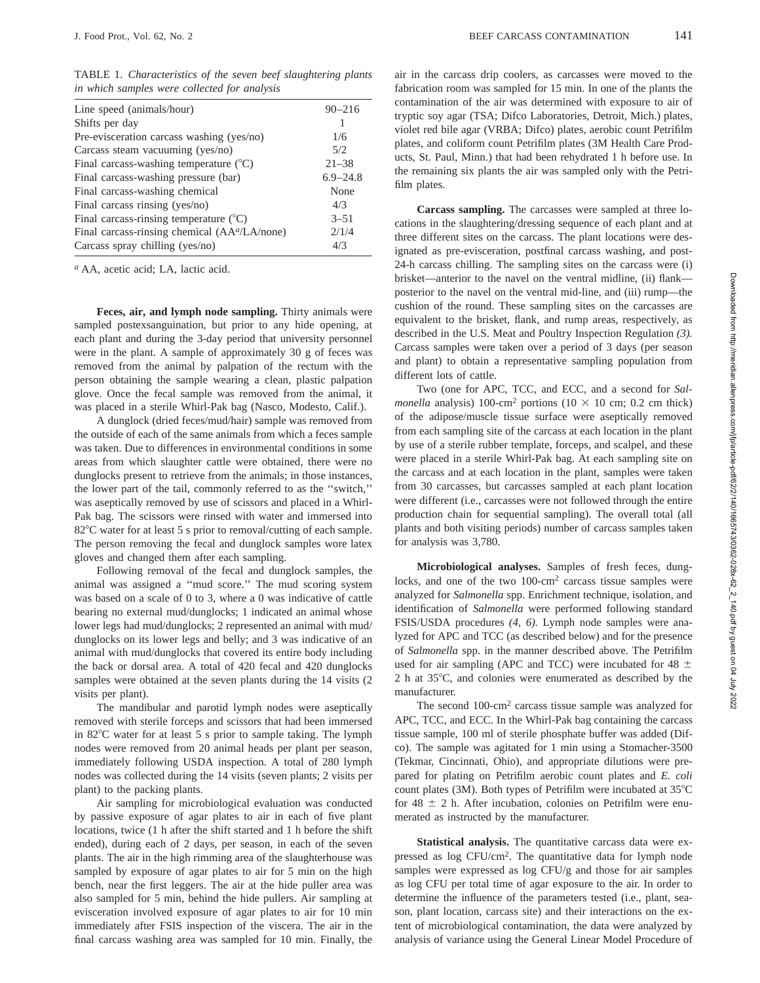TABLE 1. *Characteristics of the seven beef slaughtering plants in which samples were collected for analysis*

| Line speed (animals/hour)                                 | $90 - 216$   |
|-----------------------------------------------------------|--------------|
| Shifts per day                                            |              |
| Pre-evisceration carcass washing (yes/no)                 | 1/6          |
| Carcass steam vacuuming (yes/no)                          | 5/2          |
| Final carcass-washing temperature $(^{\circ}C)$           | $21 - 38$    |
| Final carcass-washing pressure (bar)                      | $6.9 - 24.8$ |
| Final carcass-washing chemical                            | None         |
| Final carcass rinsing (yes/no)                            | 4/3          |
| Final carcass-rinsing temperature $(^{\circ}C)$           | $3 - 51$     |
| Final carcass-rinsing chemical (AA <sup>a</sup> /LA/none) | 2/1/4        |
| Carcass spray chilling (yes/no)                           | 4/3          |
|                                                           |              |

*<sup>a</sup>* AA, acetic acid; LA, lactic acid.

**Feces, air, and lymph node sampling.** Thirty animals were sampled postexsanguination, but prior to any hide opening, at each plant and during the 3-day period that university personnel were in the plant. A sample of approximately 30 g of feces was removed from the animal by palpation of the rectum with the person obtaining the sample wearing a clean, plastic palpation glove. Once the fecal sample was removed from the animal, it was placed in a sterile Whirl-Pak bag (Nasco, Modesto, Calif.).

A dunglock (dried feces/mud/hair) sample was removed from the outside of each of the same animals from which a feces sample was taken. Due to differences in environmental conditions in some areas from which slaughter cattle were obtained, there were no dunglocks present to retrieve from the animals; in those instances, the lower part of the tail, commonly referred to as the ''switch,'' was aseptically removed by use of scissors and placed in a Whirl-Pak bag. The scissors were rinsed with water and immersed into 82°C water for at least 5 s prior to removal/cutting of each sample. The person removing the fecal and dunglock samples wore latex gloves and changed them after each sampling.

Following removal of the fecal and dunglock samples, the animal was assigned a ''mud score.'' The mud scoring system was based on a scale of 0 to 3, where a 0 was indicative of cattle bearing no external mud/dunglocks; 1 indicated an animal whose lower legs had mud/dunglocks; 2 represented an animal with mud/ dunglocks on its lower legs and belly; and 3 was indicative of an animal with mud/dunglocks that covered its entire body including the back or dorsal area. A total of 420 fecal and 420 dunglocks samples were obtained at the seven plants during the 14 visits (2 visits per plant).

The mandibular and parotid lymph nodes were aseptically removed with sterile forceps and scissors that had been immersed in 82°C water for at least 5 s prior to sample taking. The lymph nodes were removed from 20 animal heads per plant per season, immediately following USDA inspection. A total of 280 lymph nodes was collected during the 14 visits (seven plants; 2 visits per plant) to the packing plants.

Air sampling for microbiological evaluation was conducted by passive exposure of agar plates to air in each of five plant locations, twice (1 h after the shift started and 1 h before the shift ended), during each of 2 days, per season, in each of the seven plants. The air in the high rimming area of the slaughterhouse was sampled by exposure of agar plates to air for 5 min on the high bench, near the first leggers. The air at the hide puller area was also sampled for 5 min, behind the hide pullers. Air sampling at evisceration involved exposure of agar plates to air for 10 min immediately after FSIS inspection of the viscera. The air in the final carcass washing area was sampled for 10 min. Finally, the air in the carcass drip coolers, as carcasses were moved to the fabrication room was sampled for 15 min. In one of the plants the contamination of the air was determined with exposure to air of tryptic soy agar (TSA; Difco Laboratories, Detroit, Mich.) plates, violet red bile agar (VRBA; Difco) plates, aerobic count Petrifilm plates, and coliform count Petrifilm plates (3M Health Care Products, St. Paul, Minn.) that had been rehydrated 1 h before use. In the remaining six plants the air was sampled only with the Petrifilm plates.

**Carcass sampling.** The carcasses were sampled at three locations in the slaughtering/dressing sequence of each plant and at three different sites on the carcass. The plant locations were designated as pre-evisceration, postfinal carcass washing, and post-24-h carcass chilling. The sampling sites on the carcass were (i) brisket—anterior to the navel on the ventral midline, (ii) flank posterior to the navel on the ventral mid-line, and (iii) rump—the cushion of the round. These sampling sites on the carcasses are equivalent to the brisket, flank, and rump areas, respectively, as described in the U.S. Meat and Poultry Inspection Regulation *(3).* Carcass samples were taken over a period of 3 days (per season and plant) to obtain a representative sampling population from different lots of cattle.

Two (one for APC, TCC, and ECC, and a second for *Salmonella* analysis) 100-cm<sup>2</sup> portions (10  $\times$  10 cm; 0.2 cm thick) of the adipose/muscle tissue surface were aseptically removed from each sampling site of the carcass at each location in the plant by use of a sterile rubber template, forceps, and scalpel, and these were placed in a sterile Whirl-Pak bag. At each sampling site on the carcass and at each location in the plant, samples were taken from 30 carcasses, but carcasses sampled at each plant location were different (i.e., carcasses were not followed through the entire production chain for sequential sampling). The overall total (all plants and both visiting periods) number of carcass samples taken for analysis was 3,780.

**Microbiological analyses.** Samples of fresh feces, dunglocks, and one of the two 100-cm2 carcass tissue samples were analyzed for *Salmonella* spp. Enrichment technique, isolation, and identification of *Salmonella* were performed following standard FSIS/USDA procedures *(4, 6).* Lymph node samples were analyzed for APC and TCC (as described below) and for the presence of *Salmonella* spp. in the manner described above. The Petrifilm used for air sampling (APC and TCC) were incubated for 48  $\pm$ 2 h at  $35^{\circ}$ C, and colonies were enumerated as described by the manufacturer.

The second 100-cm2 carcass tissue sample was analyzed for APC, TCC, and ECC. In the Whirl-Pak bag containing the carcass tissue sample, 100 ml of sterile phosphate buffer was added (Difco). The sample was agitated for 1 min using a Stomacher-3500 (Tekmar, Cincinnati, Ohio), and appropriate dilutions were prepared for plating on Petrifilm aerobic count plates and *E. coli* count plates (3M). Both types of Petrifilm were incubated at  $35^{\circ}$ C for 48  $\pm$  2 h. After incubation, colonies on Petrifilm were enumerated as instructed by the manufacturer.

**Statistical analysis.** The quantitative carcass data were expressed as log CFU/cm2. The quantitative data for lymph node samples were expressed as log CFU/g and those for air samples as log CFU per total time of agar exposure to the air. In order to determine the influence of the parameters tested (i.e., plant, season, plant location, carcass site) and their interactions on the extent of microbiological contamination, the data were analyzed by analysis of variance using the General Linear Model Procedure of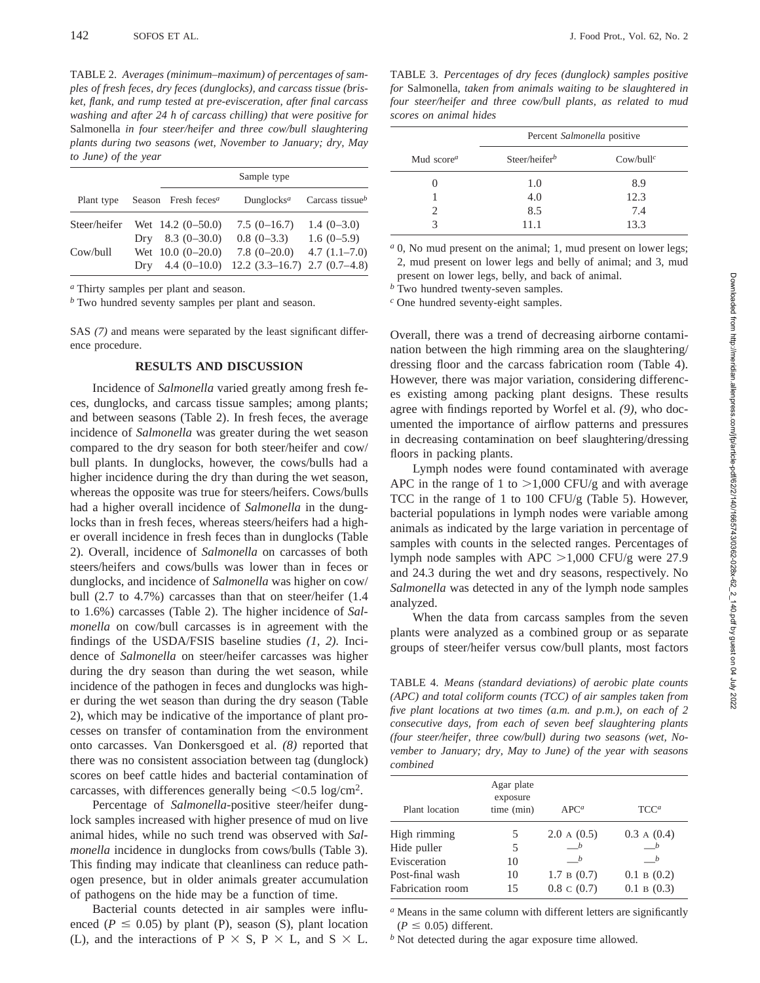TABLE 2. *Averages (minimum–maximum) of percentages of samples of fresh feces, dry feces (dunglocks), and carcass tissue (brisket, flank, and rump tested at pre-evisceration, after final carcass washing and after 24 h of carcass chilling) that were positive for* Salmonella *in four steer/heifer and three cow/bull slaughtering plants during two seasons (wet, November to January; dry, May to June) of the year*

|              |                                 | Sample type                           |                 |
|--------------|---------------------------------|---------------------------------------|-----------------|
| Plant type   | Season Fresh feces <sup>a</sup> | Dunglocks <sup><i>a</i></sup>         | Carcass tissueb |
| Steer/heifer | Wet $14.2 (0 - 50.0)$           | $7.5(0-16.7)$                         | $1.4(0-3.0)$    |
|              | Dry $8.3(0-30.0)$               | $0.8(0-3.3)$                          | $1.6(0-5.9)$    |
| Cow/bull     | Wet $10.0 (0-20.0)$             | $7.8(0-20.0)$                         | $4.7(1.1-7.0)$  |
|              | $4.4(0-10.0)$<br>Drv            | $12.2$ $(3.3-16.7)$ $2.7$ $(0.7-4.8)$ |                 |

*<sup>a</sup>* Thirty samples per plant and season.

*<sup>b</sup>* Two hundred seventy samples per plant and season.

SAS *(7)* and means were separated by the least significant difference procedure.

## **RESULTS AND DISCUSSION**

Incidence of *Salmonella* varied greatly among fresh feces, dunglocks, and carcass tissue samples; among plants; and between seasons (Table 2). In fresh feces, the average incidence of *Salmonella* was greater during the wet season compared to the dry season for both steer/heifer and cow/ bull plants. In dunglocks, however, the cows/bulls had a higher incidence during the dry than during the wet season, whereas the opposite was true for steers/heifers. Cows/bulls had a higher overall incidence of *Salmonella* in the dunglocks than in fresh feces, whereas steers/heifers had a higher overall incidence in fresh feces than in dunglocks (Table 2). Overall, incidence of *Salmonella* on carcasses of both steers/heifers and cows/bulls was lower than in feces or dunglocks, and incidence of *Salmonella* was higher on cow/ bull (2.7 to 4.7%) carcasses than that on steer/heifer (1.4 to 1.6%) carcasses (Table 2). The higher incidence of *Salmonella* on cow/bull carcasses is in agreement with the findings of the USDA/FSIS baseline studies *(1, 2).* Incidence of *Salmonella* on steer/heifer carcasses was higher during the dry season than during the wet season, while incidence of the pathogen in feces and dunglocks was higher during the wet season than during the dry season (Table 2), which may be indicative of the importance of plant processes on transfer of contamination from the environment onto carcasses. Van Donkersgoed et al. *(8)* reported that there was no consistent association between tag (dunglock) scores on beef cattle hides and bacterial contamination of carcasses, with differences generally being  $\langle 0.5 \log/cm^2$ .

Percentage of *Salmonella*-positive steer/heifer dunglock samples increased with higher presence of mud on live animal hides, while no such trend was observed with *Salmonella* incidence in dunglocks from cows/bulls (Table 3). This finding may indicate that cleanliness can reduce pathogen presence, but in older animals greater accumulation of pathogens on the hide may be a function of time.

Bacterial counts detected in air samples were influenced ( $P \leq 0.05$ ) by plant (P), season (S), plant location (L), and the interactions of P  $\times$  S, P  $\times$  L, and S  $\times$  L.

TABLE 3. *Percentages of dry feces (dunglock) samples positive for* Salmonella, *taken from animals waiting to be slaughtered in four steer/heifer and three cow/bull plants, as related to mud scores on animal hides*

|                                     | Percent Salmonella positive |                     |  |  |
|-------------------------------------|-----------------------------|---------------------|--|--|
| Mud score <sup><math>a</math></sup> | Steer/heifer <sup>b</sup>   | $\text{Cow/bull}^c$ |  |  |
|                                     | 1.0                         | 8.9                 |  |  |
|                                     | 4.0                         | 12.3                |  |  |
|                                     | 8.5                         | 7.4                 |  |  |
|                                     | 11.1                        | 13.3                |  |  |

*<sup>a</sup>* 0, No mud present on the animal; 1, mud present on lower legs; 2, mud present on lower legs and belly of animal; and 3, mud present on lower legs, belly, and back of animal.

*<sup>b</sup>* Two hundred twenty-seven samples.

*<sup>c</sup>* One hundred seventy-eight samples.

Overall, there was a trend of decreasing airborne contamination between the high rimming area on the slaughtering/ dressing floor and the carcass fabrication room (Table 4). However, there was major variation, considering differences existing among packing plant designs. These results agree with findings reported by Worfel et al. *(9),* who documented the importance of airflow patterns and pressures in decreasing contamination on beef slaughtering/dressing floors in packing plants.

Lymph nodes were found contaminated with average APC in the range of 1 to  $>1,000$  CFU/g and with average TCC in the range of 1 to 100 CFU/g (Table 5). However, bacterial populations in lymph nodes were variable among animals as indicated by the large variation in percentage of samples with counts in the selected ranges. Percentages of lymph node samples with APC  $>1,000$  CFU/g were 27.9 and 24.3 during the wet and dry seasons, respectively. No *Salmonella* was detected in any of the lymph node samples analyzed.

When the data from carcass samples from the seven plants were analyzed as a combined group or as separate groups of steer/heifer versus cow/bull plants, most factors

TABLE 4. *Means (standard deviations) of aerobic plate counts (APC) and total coliform counts (TCC) of air samples taken from five plant locations at two times (a.m. and p.m.), on each of 2 consecutive days, from each of seven beef slaughtering plants (four steer/heifer, three cow/bull) during two seasons (wet, November to January; dry, May to June) of the year with seasons combined*

| Plant location   | Agar plate<br>exposure<br>time (min) | $APC^a$                         | TCC <sup>a</sup>       |
|------------------|--------------------------------------|---------------------------------|------------------------|
| High rimming     | 5                                    | 2.0 A(0.5)                      | 0.3 A(0.4)             |
| Hide puller      | 5                                    |                                 |                        |
| Evisceration     | 10                                   | <i>b</i>                        |                        |
| Post-final wash  | 10                                   | $1.7 \text{ B } (0.7)$          | $0.1 \text{ B } (0.2)$ |
| Fabrication room | 15                                   | $0.8 \text{ } c \text{ } (0.7)$ | $0.1 \text{ B } (0.3)$ |
|                  |                                      |                                 |                        |

*<sup>a</sup>* Means in the same column with different letters are significantly  $(P \leq 0.05)$  different.

*<sup>b</sup>* Not detected during the agar exposure time allowed.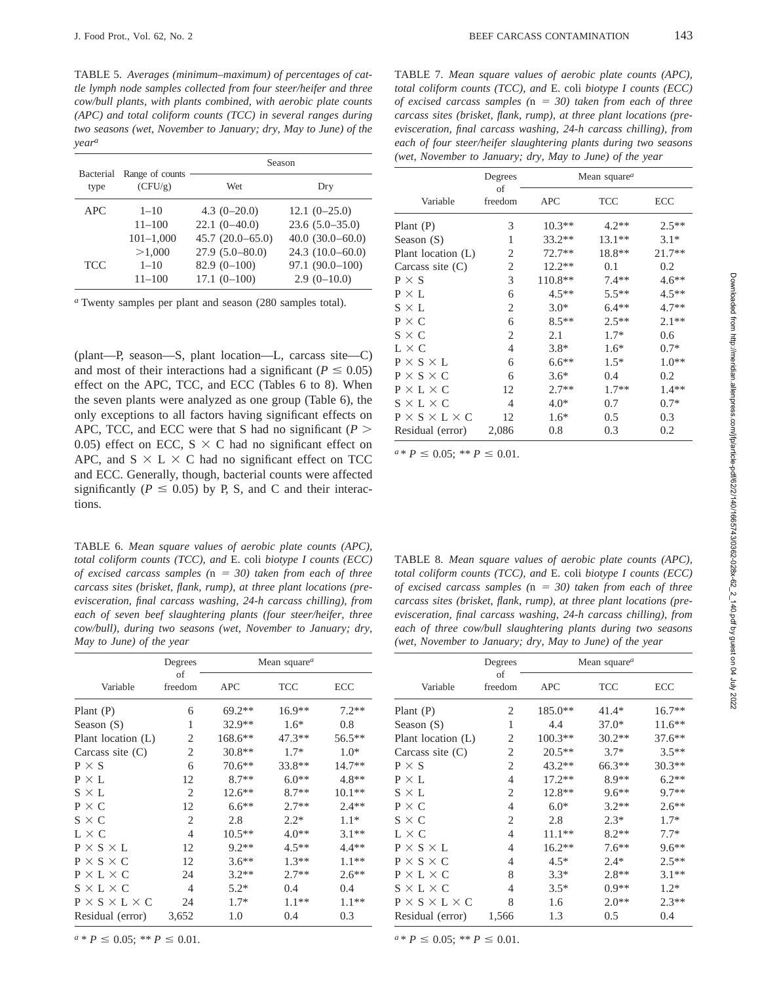TABLE 5. *Averages (minimum–maximum) of percentages of cattle lymph node samples collected from four steer/heifer and three cow/bull plants, with plants combined, with aerobic plate counts (APC) and total coliform counts (TCC) in several ranges during two seasons (wet, November to January; dry, May to June) of the yeara*

|                   |                            | Season            |                   |  |
|-------------------|----------------------------|-------------------|-------------------|--|
| Bacterial<br>type | Range of counts<br>(CFU/g) | Wet               | Dry               |  |
| APC.              | $1 - 10$                   | $4.3(0-20.0)$     | $12.1(0-25.0)$    |  |
|                   | $11 - 100$                 | $22.1(0-40.0)$    | $23.6(5.0-35.0)$  |  |
|                   | $101 - 1,000$              | $45.7(20.0-65.0)$ | $40.0(30.0-60.0)$ |  |
|                   | >1,000                     | $27.9(5.0-80.0)$  | $24.3(10.0-60.0)$ |  |
| <b>TCC</b>        | $1 - 10$                   | $82.9(0-100)$     | $97.1(90.0-100)$  |  |
|                   | 11–100                     | $17.1(0-100)$     | $2.9(0-10.0)$     |  |

*<sup>a</sup>* Twenty samples per plant and season (280 samples total).

(plant—P, season—S, plant location—L, carcass site—C) and most of their interactions had a significant ( $P \le 0.05$ ) effect on the APC, TCC, and ECC (Tables 6 to 8). When the seven plants were analyzed as one group (Table 6), the only exceptions to all factors having significant effects on APC, TCC, and ECC were that S had no significant ( $P$  > 0.05) effect on ECC,  $S \times C$  had no significant effect on APC, and  $S \times L \times C$  had no significant effect on TCC and ECC. Generally, though, bacterial counts were affected significantly ( $P \le 0.05$ ) by P, S, and C and their interactions.

TABLE 6. *Mean square values of aerobic plate counts (APC), total coliform counts (TCC), and* E. coli *biotype I counts (ECC) of excised carcass samples* (n = 30) taken from each of three *carcass sites (brisket, flank, rump), at three plant locations (preevisceration, final carcass washing, 24-h carcass chilling), from each of seven beef slaughtering plants (four steer/heifer, three cow/bull), during two seasons (wet, November to January; dry, May to June) of the year*

|                                | Degrees        | Mean square <sup><math>a</math></sup> |            |           |
|--------------------------------|----------------|---------------------------------------|------------|-----------|
| Variable                       | οf<br>freedom  | <b>APC</b>                            | <b>TCC</b> | ECC       |
| Plant $(P)$                    | 6              | $69.2**$                              | $16.9**$   | $7.2**$   |
| Season $(S)$                   | 1              | $32.9**$                              | $1.6*$     | 0.8       |
| Plant location $(L)$           | $\overline{2}$ | $168.6**$                             | $47.3**$   | $56.5***$ |
| Carcass site $(C)$             | 2              | $30.8**$                              | $1.7*$     | $1.0*$    |
| $P \times S$                   | 6              | $70.6**$                              | 33.8**     | $14.7**$  |
| $P \times L$                   | 12             | $8.7**$                               | $6.0**$    | $4.8**$   |
| $S \times L$                   | 2              | $12.6**$                              | $8.7**$    | $10.1**$  |
| $P \times C$                   | 12             | $6.6**$                               | $2.7**$    | $2.4**$   |
| $S \times C$                   | 2              | 2.8                                   | $2.2*$     | $1.1*$    |
| $L \times C$                   | 4              | $10.5**$                              | $4.0**$    | $3.1**$   |
| $P \times S \times L$          | 12             | $9.2**$                               | $4.5**$    | $4.4**$   |
| $P \times S \times C$          | 12             | $3.6**$                               | $1.3**$    | $1.1**$   |
| $P \times L \times C$          | 24             | $3.2**$                               | $2.7**$    | $2.6**$   |
| $S \times L \times C$          | 4              | $5.2*$                                | 0.4        | 0.4       |
| $P \times S \times L \times C$ | 24             | $1.7*$                                | $1.1**$    | $1.1**$   |
| Residual (error)               | 3,652          | 1.0                                   | 0.4        | 0.3       |

 $a * P \leq 0.05$ ; \*\*  $P \leq 0.01$ .

TABLE 7. *Mean square values of aerobic plate counts (APC), total coliform counts (TCC), and* E. coli *biotype I counts (ECC) of excised carcass samples*  $(n = 30)$  taken from each of three *carcass sites (brisket, flank, rump), at three plant locations (preevisceration, final carcass washing, 24-h carcass chilling), from each of four steer/heifer slaughtering plants during two seasons (wet, November to January; dry, May to June) of the year*

|                                | Mean square <sup><math>a</math></sup><br>Degrees |            |            |          |
|--------------------------------|--------------------------------------------------|------------|------------|----------|
| Variable                       | οf<br>freedom                                    | <b>APC</b> | <b>TCC</b> | ECC      |
| Plant $(P)$                    | 3                                                | $10.3**$   | $4.2**$    | $2.5**$  |
| Season (S)                     | 1                                                | $33.2**$   | $13.1**$   | $3.1*$   |
| Plant location (L)             | 2                                                | $72.7**$   | 18.8**     | $21.7**$ |
| Carcass site $(C)$             | 2                                                | $12.2**$   | 0.1        | 0.2      |
| $P \times S$                   | 3                                                | $110.8**$  | $7.4**$    | $4.6**$  |
| $P \times L$                   | 6                                                | $4.5**$    | $5.5**$    | $4.5**$  |
| $S \times L$                   | 2                                                | $3.0*$     | $6.4**$    | $4.7**$  |
| $P \times C$                   | 6                                                | $8.5**$    | $2.5**$    | $2.1**$  |
| $S \times C$                   | 2                                                | 2.1        | $1.7*$     | 0.6      |
| $L \times C$                   | 4                                                | $3.8*$     | $1.6*$     | $0.7*$   |
| $P \times S \times L$          | 6                                                | $6.6**$    | $1.5*$     | $1.0**$  |
| $P \times S \times C$          | 6                                                | $3.6*$     | 0.4        | 0.2      |
| $P \times L \times C$          | 12                                               | $2.7**$    | $1.7**$    | $1.4**$  |
| $S \times L \times C$          | $\overline{4}$                                   | $4.0*$     | 0.7        | $0.7*$   |
| $P \times S \times L \times C$ | 12                                               | $1.6*$     | 0.5        | 0.3      |
| Residual (error)               | 2,086                                            | 0.8        | 0.3        | 0.2      |

 $a * P \leq 0.05$ ; \*\*  $P \leq 0.01$ .

TABLE 8. *Mean square values of aerobic plate counts (APC), total coliform counts (TCC), and* E. coli *biotype I counts (ECC) of excised carcass samples* (n = 30) taken from each of three *carcass sites (brisket, flank, rump), at three plant locations (preevisceration, final carcass washing, 24-h carcass chilling), from each of three cow/bull slaughtering plants during two seasons (wet, November to January; dry, May to June) of the year*

|                                | Degrees        | Mean square <sup>a</sup> |            |          |
|--------------------------------|----------------|--------------------------|------------|----------|
| Variable                       | of<br>freedom  | <b>APC</b>               | <b>TCC</b> | ECC      |
| Plant $(P)$                    | 2              | $185.0**$                | $41.4*$    | $16.7**$ |
| Season (S)                     | 1              | 4.4                      | $37.0*$    | $11.6**$ |
| Plant location (L)             | 2              | $100.3**$                | $30.2**$   | $37.6**$ |
| Carcass site $(C)$             | $\overline{2}$ | $20.5**$                 | $3.7*$     | $3.5**$  |
| $P \times S$                   | 2              | $43.2**$                 | $66.3**$   | 30.3**   |
| $P \times L$                   | $\overline{4}$ | $17.2**$                 | $8.9**$    | $6.2**$  |
| $S \times L$                   | 2              | $12.8**$                 | $9.6**$    | $9.7**$  |
| $P \times C$                   | 4              | $6.0*$                   | $3.2**$    | $2.6**$  |
| $S \times C$                   | 2              | 2.8                      | $2.3*$     | $1.7*$   |
| $L \times C$                   | 4              | $11.1**$                 | $8.2**$    | $7.7*$   |
| $P \times S \times L$          | 4              | $16.2**$                 | $7.6***$   | $9.6**$  |
| $P \times S \times C$          | 4              | $4.5*$                   | $2.4*$     | $2.5**$  |
| $P \times L \times C$          | 8              | $3.3*$                   | $2.8**$    | $3.1**$  |
| $S \times L \times C$          | 4              | $3.5*$                   | $0.9**$    | $1.2*$   |
| $P \times S \times L \times C$ | 8              | 1.6                      | $2.0**$    | $2.3**$  |
| Residual (error)               | 1,566          | 1.3                      | 0.5        | 0.4      |

 $a * P \leq 0.05$ ; \*\*  $P \leq 0.01$ .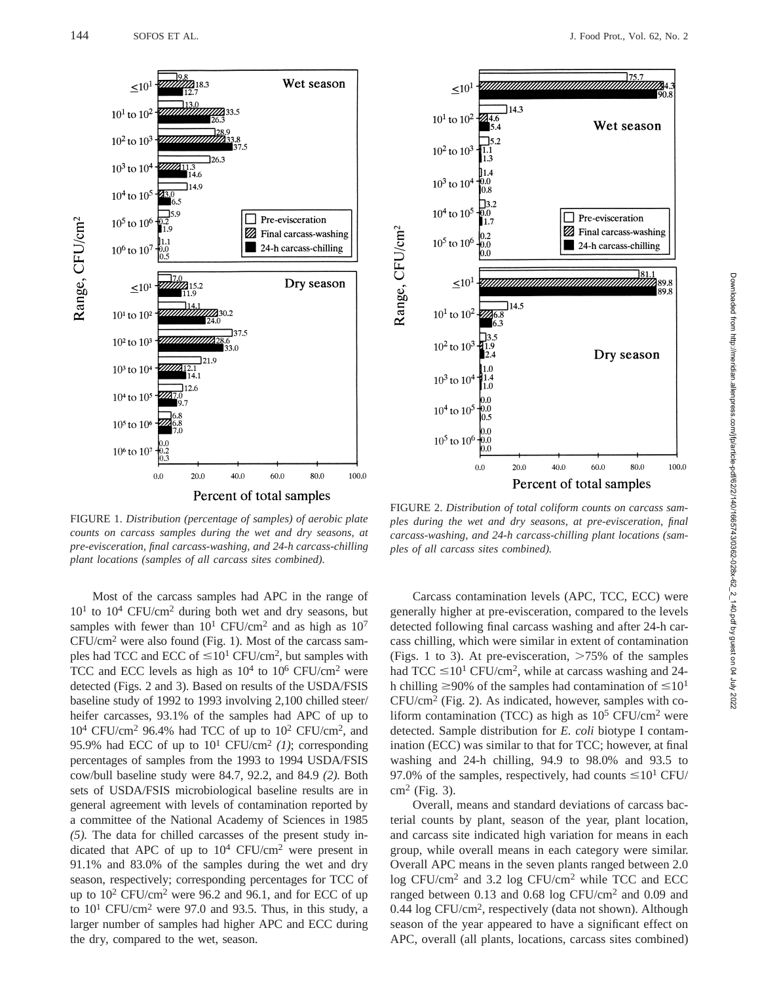

FIGURE 1. *Distribution (percentage of samples) of aerobic plate counts on carcass samples during the wet and dry seasons, at pre-evisceration, final carcass-washing, and 24-h carcass-chilling plant locations (samples of all carcass sites combined).*

Most of the carcass samples had APC in the range of  $10<sup>1</sup>$  to  $10<sup>4</sup>$  CFU/cm<sup>2</sup> during both wet and dry seasons, but samples with fewer than  $10^1$  CFU/cm<sup>2</sup> and as high as  $10^7$  $CFU/cm<sup>2</sup>$  were also found (Fig. 1). Most of the carcass samples had TCC and ECC of  $\leq 10^{1}$  CFU/cm<sup>2</sup>, but samples with TCC and ECC levels as high as  $10^4$  to  $10^6$  CFU/cm<sup>2</sup> were detected (Figs. 2 and 3). Based on results of the USDA/FSIS baseline study of 1992 to 1993 involving 2,100 chilled steer/ heifer carcasses, 93.1% of the samples had APC of up to  $10^4$  CFU/cm<sup>2</sup> 96.4% had TCC of up to  $10^2$  CFU/cm<sup>2</sup>, and 95.9% had ECC of up to  $10^1$  CFU/cm<sup>2</sup> (1); corresponding percentages of samples from the 1993 to 1994 USDA/FSIS cow/bull baseline study were 84.7, 92.2, and 84.9 *(2).* Both sets of USDA/FSIS microbiological baseline results are in general agreement with levels of contamination reported by a committee of the National Academy of Sciences in 1985 *(5).* The data for chilled carcasses of the present study indicated that APC of up to  $10^4$  CFU/cm<sup>2</sup> were present in 91.1% and 83.0% of the samples during the wet and dry season, respectively; corresponding percentages for TCC of up to 102 CFU/cm2 were 96.2 and 96.1, and for ECC of up to  $10^1$  CFU/cm<sup>2</sup> were 97.0 and 93.5. Thus, in this study, a larger number of samples had higher APC and ECC during the dry, compared to the wet, season.



FIGURE 2. *Distribution of total coliform counts on carcass samples during the wet and dry seasons, at pre-evisceration, final carcass-washing, and 24-h carcass-chilling plant locations (samples of all carcass sites combined).*

Carcass contamination levels (APC, TCC, ECC) were generally higher at pre-evisceration, compared to the levels detected following final carcass washing and after 24-h carcass chilling, which were similar in extent of contamination (Figs. 1 to 3). At pre-evisceration,  $>75\%$  of the samples had TCC  $\leq 10^1$  CFU/cm<sup>2</sup>, while at carcass washing and 24h chilling  $\geq$ 90% of the samples had contamination of  $\leq$ 10<sup>1</sup>  $CFU/cm<sup>2</sup>$  (Fig. 2). As indicated, however, samples with coliform contamination (TCC) as high as  $10^5$  CFU/cm<sup>2</sup> were detected. Sample distribution for *E. coli* biotype I contamination (ECC) was similar to that for TCC; however, at final washing and 24-h chilling, 94.9 to 98.0% and 93.5 to 97.0% of the samples, respectively, had counts  $\leq 10^1$  CFU/  $cm<sup>2</sup>$  (Fig. 3).

Overall, means and standard deviations of carcass bacterial counts by plant, season of the year, plant location, and carcass site indicated high variation for means in each group, while overall means in each category were similar. Overall APC means in the seven plants ranged between 2.0 log CFU/cm2 and 3.2 log CFU/cm<sup>2</sup> while TCC and ECC ranged between 0.13 and 0.68 log CFU/cm<sup>2</sup> and 0.09 and 0.44 log CFU/cm2, respectively (data not shown). Although season of the year appeared to have a significant effect on APC, overall (all plants, locations, carcass sites combined)